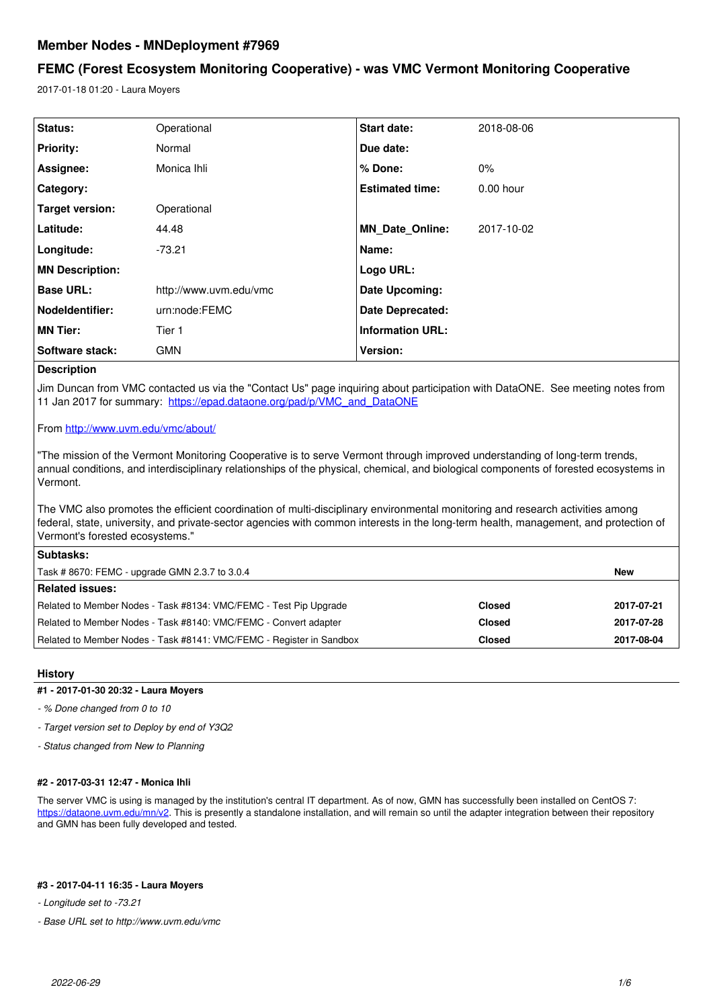# **Member Nodes - MNDeployment #7969**

# **FEMC (Forest Ecosystem Monitoring Cooperative) - was VMC Vermont Monitoring Cooperative**

2017-01-18 01:20 - Laura Moyers

| Status:                | Operational            | <b>Start date:</b>      | 2018-08-06  |  |
|------------------------|------------------------|-------------------------|-------------|--|
| <b>Priority:</b>       | Normal                 | Due date:               |             |  |
| Assignee:              | Monica Ihli            | % Done:                 | 0%          |  |
| Category:              |                        | <b>Estimated time:</b>  | $0.00$ hour |  |
| Target version:        | Operational            |                         |             |  |
| Latitude:              | 44.48                  | MN_Date_Online:         | 2017-10-02  |  |
| Longitude:             | $-73.21$               | Name:                   |             |  |
| <b>MN Description:</b> |                        | Logo URL:               |             |  |
| <b>Base URL:</b>       | http://www.uvm.edu/vmc | Date Upcoming:          |             |  |
| <b>Nodeldentifier:</b> | urn:node:FEMC          | Date Deprecated:        |             |  |
| <b>MN Tier:</b>        | Tier 1                 | <b>Information URL:</b> |             |  |
| Software stack:        | <b>GMN</b>             | Version:                |             |  |
| ___                    |                        |                         |             |  |

## **Description**

Jim Duncan from VMC contacted us via the "Contact Us" page inquiring about participation with DataONE. See meeting notes from 11 Jan 2017 for summary: [https://epad.dataone.org/pad/p/VMC\\_and\\_DataONE](https://epad.dataone.org/pad/p/VMC_and_DataONE)

# From <http://www.uvm.edu/vmc/about/>

"The mission of the Vermont Monitoring Cooperative is to serve Vermont through improved understanding of long-term trends, annual conditions, and interdisciplinary relationships of the physical, chemical, and biological components of forested ecosystems in Vermont.

The VMC also promotes the efficient coordination of multi-disciplinary environmental monitoring and research activities among federal, state, university, and private-sector agencies with common interests in the long-term health, management, and protection of Vermont's forested ecosystems."

| <b>Subtasks:</b>                                                     |               |            |  |  |
|----------------------------------------------------------------------|---------------|------------|--|--|
| Task #8670: FEMC - upgrade GMN 2.3.7 to 3.0.4                        |               |            |  |  |
| <b>Related issues:</b>                                               |               |            |  |  |
| Related to Member Nodes - Task #8134: VMC/FEMC - Test Pip Upgrade    | <b>Closed</b> | 2017-07-21 |  |  |
| Related to Member Nodes - Task #8140: VMC/FEMC - Convert adapter     | <b>Closed</b> | 2017-07-28 |  |  |
| Related to Member Nodes - Task #8141: VMC/FEMC - Register in Sandbox | <b>Closed</b> | 2017-08-04 |  |  |

## **History**

# **#1 - 2017-01-30 20:32 - Laura Moyers**

*- % Done changed from 0 to 10*

*- Target version set to Deploy by end of Y3Q2*

*- Status changed from New to Planning*

## **#2 - 2017-03-31 12:47 - Monica Ihli**

The server VMC is using is managed by the institution's central IT department. As of now, GMN has successfully been installed on CentOS 7: <https://dataone.uvm.edu/mn/v2>. This is presently a standalone installation, and will remain so until the adapter integration between their repository and GMN has been fully developed and tested.

# **#3 - 2017-04-11 16:35 - Laura Moyers**

*- Longitude set to -73.21*

*- Base URL set to http://www.uvm.edu/vmc*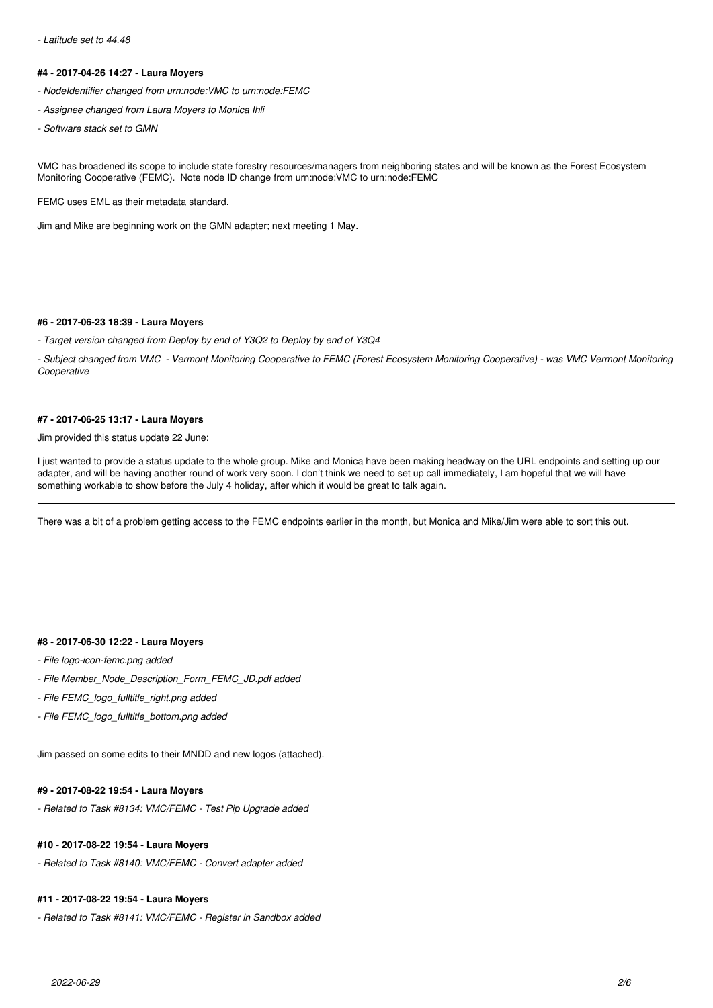#### *- Latitude set to 44.48*

#### **#4 - 2017-04-26 14:27 - Laura Moyers**

- *NodeIdentifier changed from urn:node:VMC to urn:node:FEMC*
- *Assignee changed from Laura Moyers to Monica Ihli*
- *Software stack set to GMN*

VMC has broadened its scope to include state forestry resources/managers from neighboring states and will be known as the Forest Ecosystem Monitoring Cooperative (FEMC). Note node ID change from urn:node:VMC to urn:node:FEMC

FEMC uses EML as their metadata standard.

Jim and Mike are beginning work on the GMN adapter; next meeting 1 May.

#### **#6 - 2017-06-23 18:39 - Laura Moyers**

*- Target version changed from Deploy by end of Y3Q2 to Deploy by end of Y3Q4*

*- Subject changed from VMC - Vermont Monitoring Cooperative to FEMC (Forest Ecosystem Monitoring Cooperative) - was VMC Vermont Monitoring Cooperative*

#### **#7 - 2017-06-25 13:17 - Laura Moyers**

## Jim provided this status update 22 June:

I just wanted to provide a status update to the whole group. Mike and Monica have been making headway on the URL endpoints and setting up our adapter, and will be having another round of work very soon. I don't think we need to set up call immediately, I am hopeful that we will have something workable to show before the July 4 holiday, after which it would be great to talk again.

There was a bit of a problem getting access to the FEMC endpoints earlier in the month, but Monica and Mike/Jim were able to sort this out.

### **#8 - 2017-06-30 12:22 - Laura Moyers**

- *File logo-icon-femc.png added*
- *File Member\_Node\_Description\_Form\_FEMC\_JD.pdf added*
- *File FEMC\_logo\_fulltitle\_right.png added*
- *File FEMC\_logo\_fulltitle\_bottom.png added*

Jim passed on some edits to their MNDD and new logos (attached).

# **#9 - 2017-08-22 19:54 - Laura Moyers**

*- Related to Task #8134: VMC/FEMC - Test Pip Upgrade added*

# **#10 - 2017-08-22 19:54 - Laura Moyers**

*- Related to Task #8140: VMC/FEMC - Convert adapter added*

# **#11 - 2017-08-22 19:54 - Laura Moyers**

*- Related to Task #8141: VMC/FEMC - Register in Sandbox added*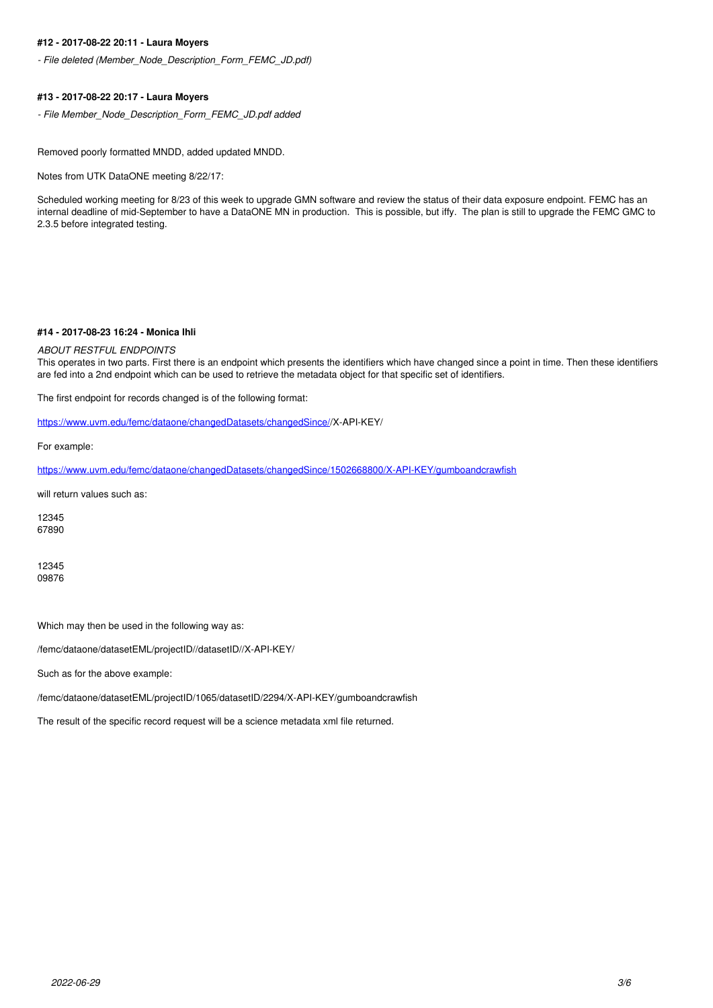### **#12 - 2017-08-22 20:11 - Laura Moyers**

*- File deleted (Member\_Node\_Description\_Form\_FEMC\_JD.pdf)*

### **#13 - 2017-08-22 20:17 - Laura Moyers**

*- File Member\_Node\_Description\_Form\_FEMC\_JD.pdf added*

Removed poorly formatted MNDD, added updated MNDD.

Notes from UTK DataONE meeting 8/22/17:

Scheduled working meeting for 8/23 of this week to upgrade GMN software and review the status of their data exposure endpoint. FEMC has an internal deadline of mid-September to have a DataONE MN in production. This is possible, but iffy. The plan is still to upgrade the FEMC GMC to 2.3.5 before integrated testing.

#### **#14 - 2017-08-23 16:24 - Monica Ihli**

#### *ABOUT RESTFUL ENDPOINTS*

This operates in two parts. First there is an endpoint which presents the identifiers which have changed since a point in time. Then these identifiers are fed into a 2nd endpoint which can be used to retrieve the metadata object for that specific set of identifiers.

The first endpoint for records changed is of the following format:

[https://www.uvm.edu/femc/dataone/changedDatasets/changedSince//](https://www.uvm.edu/femc/dataone/changedDatasets/changedSince/)X-API-KEY/

For example:

<https://www.uvm.edu/femc/dataone/changedDatasets/changedSince/1502668800/X-API-KEY/gumboandcrawfish>

will return values such as:

12345 67890

12345 09876

Which may then be used in the following way as:

/femc/dataone/datasetEML/projectID//datasetID//X-API-KEY/

Such as for the above example:

/femc/dataone/datasetEML/projectID/1065/datasetID/2294/X-API-KEY/gumboandcrawfish

The result of the specific record request will be a science metadata xml file returned.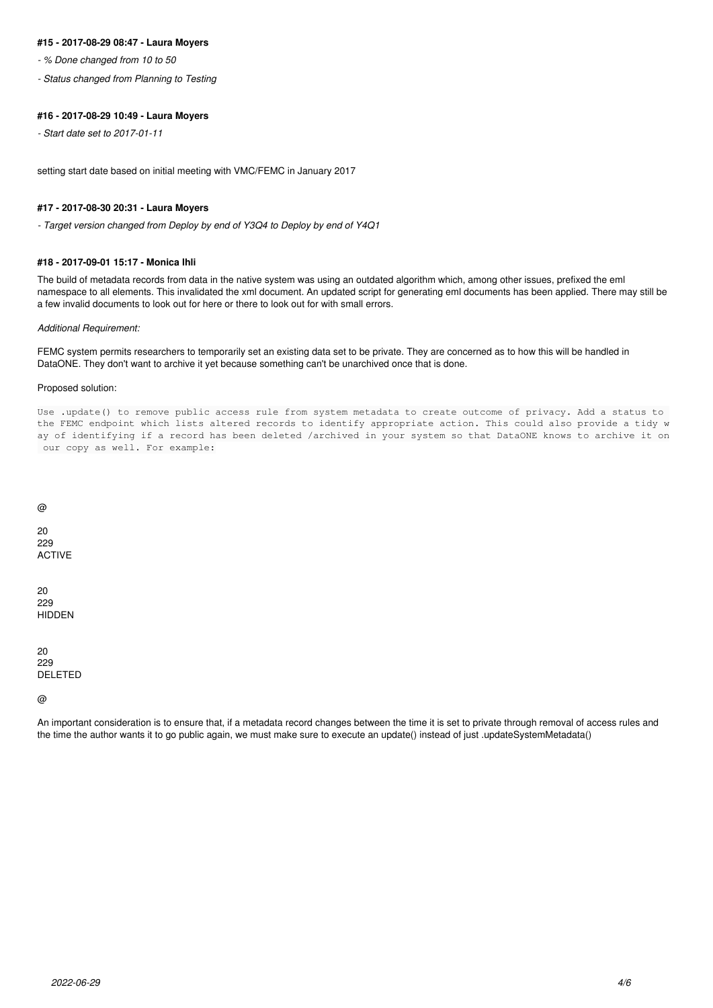#### **#15 - 2017-08-29 08:47 - Laura Moyers**

*- % Done changed from 10 to 50*

*- Status changed from Planning to Testing*

#### **#16 - 2017-08-29 10:49 - Laura Moyers**

*- Start date set to 2017-01-11*

setting start date based on initial meeting with VMC/FEMC in January 2017

#### **#17 - 2017-08-30 20:31 - Laura Moyers**

*- Target version changed from Deploy by end of Y3Q4 to Deploy by end of Y4Q1*

#### **#18 - 2017-09-01 15:17 - Monica Ihli**

The build of metadata records from data in the native system was using an outdated algorithm which, among other issues, prefixed the eml namespace to all elements. This invalidated the xml document. An updated script for generating eml documents has been applied. There may still be a few invalid documents to look out for here or there to look out for with small errors.

#### *Additional Requirement:*

FEMC system permits researchers to temporarily set an existing data set to be private. They are concerned as to how this will be handled in DataONE. They don't want to archive it yet because something can't be unarchived once that is done.

### Proposed solution:

Use .update() to remove public access rule from system metadata to create outcome of privacy. Add a status to the FEMC endpoint which lists altered records to identify appropriate action. This could also provide a tidy w ay of identifying if a record has been deleted /archived in your system so that DataONE knows to archive it on our copy as well. For example:

@

20 229 ACTIVE

20 229 HIDDEN

20 229 DELETED

### @

An important consideration is to ensure that, if a metadata record changes between the time it is set to private through removal of access rules and the time the author wants it to go public again, we must make sure to execute an update() instead of just .updateSystemMetadata()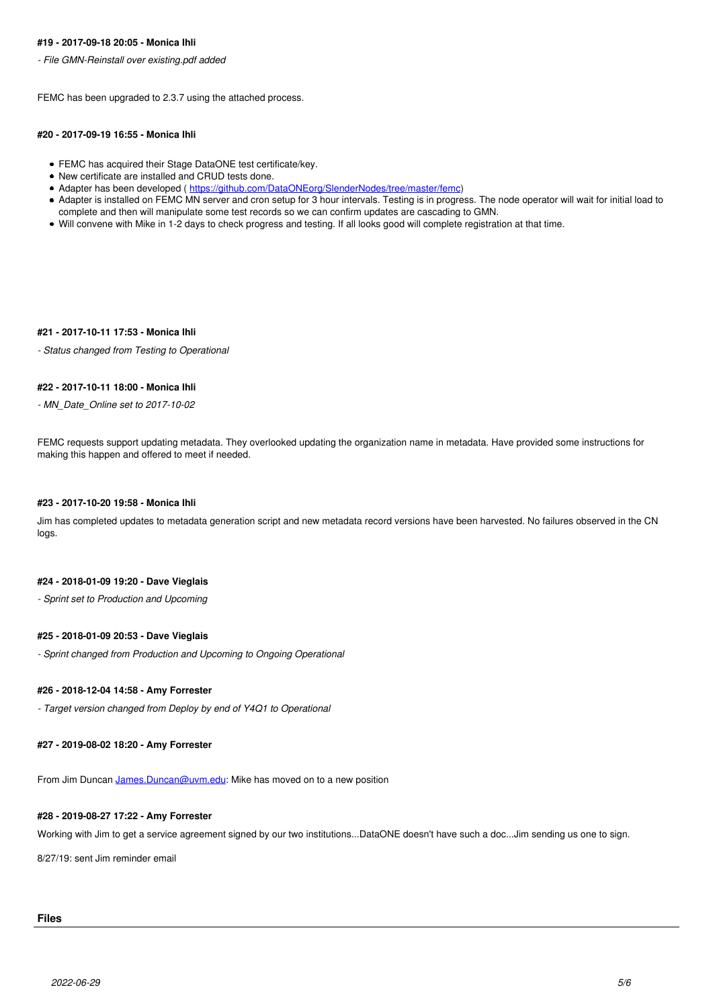#### **#19 - 2017-09-18 20:05 - Monica Ihli**

*- File GMN-Reinstall over existing.pdf added*

FEMC has been upgraded to 2.3.7 using the attached process.

#### **#20 - 2017-09-19 16:55 - Monica Ihli**

- FEMC has acquired their Stage DataONE test certificate/key.
- New certificate are installed and CRUD tests done.
- Adapter has been developed ( [https://github.com/DataONEorg/SlenderNodes/tree/master/femc\)](https://github.com/DataONEorg/SlenderNodes/tree/master/femc)
- Adapter is installed on FEMC MN server and cron setup for 3 hour intervals. Testing is in progress. The node operator will wait for initial load to complete and then will manipulate some test records so we can confirm updates are cascading to GMN.
- Will convene with Mike in 1-2 days to check progress and testing. If all looks good will complete registration at that time.

#### **#21 - 2017-10-11 17:53 - Monica Ihli**

*- Status changed from Testing to Operational*

#### **#22 - 2017-10-11 18:00 - Monica Ihli**

*- MN\_Date\_Online set to 2017-10-02*

FEMC requests support updating metadata. They overlooked updating the organization name in metadata. Have provided some instructions for making this happen and offered to meet if needed.

#### **#23 - 2017-10-20 19:58 - Monica Ihli**

Jim has completed updates to metadata generation script and new metadata record versions have been harvested. No failures observed in the CN logs.

### **#24 - 2018-01-09 19:20 - Dave Vieglais**

*- Sprint set to Production and Upcoming*

### **#25 - 2018-01-09 20:53 - Dave Vieglais**

*- Sprint changed from Production and Upcoming to Ongoing Operational*

## **#26 - 2018-12-04 14:58 - Amy Forrester**

*- Target version changed from Deploy by end of Y4Q1 to Operational*

#### **#27 - 2019-08-02 18:20 - Amy Forrester**

From Jim Duncan [James.Duncan@uvm.edu:](mailto:James.Duncan@uvm.edu) Mike has moved on to a new position

#### **#28 - 2019-08-27 17:22 - Amy Forrester**

Working with Jim to get a service agreement signed by our two institutions...DataONE doesn't have such a doc...Jim sending us one to sign.

8/27/19: sent Jim reminder email

# **Files**